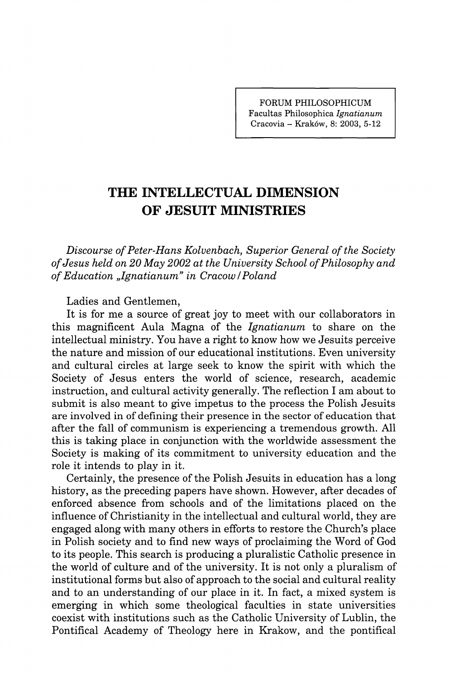**FORUM PHILOSOPHICUM Facultas Philosophica** *Ignatianum*  **Cracovia - Krakow, 8: 2003, 5-12** 

## **THE INTELLECTUAL DIMENSION OF JESUIT MINISTRIES**

*Discourse of Peter-Hans Kolvenbach, Superior General of the Society of Jesus held on 20 May 2002 at the University School of Philosophy and of Education "Ignatianum'' in Cracow /Poland* 

Ladies and Gentlemen,

It is for me a source of great joy to meet with our collaborators in this magnificent Aula Magna of the *Ignatianum* to share on the intellectual ministry. You have a right to know how we Jesuits perceive the nature and mission of our educational institutions. Even university and cultural circles at large seek to know the spirit with which the Society of Jesus enters the world of science, research, academic instruction, and cultural activity generally. The reflection I am about to submit is also meant to give impetus to the process the Polish Jesuits are involved in of defining their presence in the sector of education that after the fall of communism is experiencing a tremendous growth. All this is taking place in conjunction with the worldwide assessment the Society is making of its commitment to university education and the role it intends to play in it.

Certainly, the presence of the Polish Jesuits in education has a long history, as the preceding papers have shown. However, after decades of enforced absence from schools and of the limitations placed on the influence of Christianity in the intellectual and cultural world, they are engaged along with many others in efforts to restore the Church's place in Polish society and to find new ways of proclaiming the Word of God to its people. This search is producing a pluralistic Catholic presence in the world of culture and of the university. It is not only a pluralism of institutional forms but also of approach to the social and cultural reality and to an understanding of our place in it. In fact, a mixed system is emerging in which some theological faculties in state universities coexist with institutions such as the Catholic University of Lublin, the Pontifical Academy of Theology here in Krakow, and the pontifical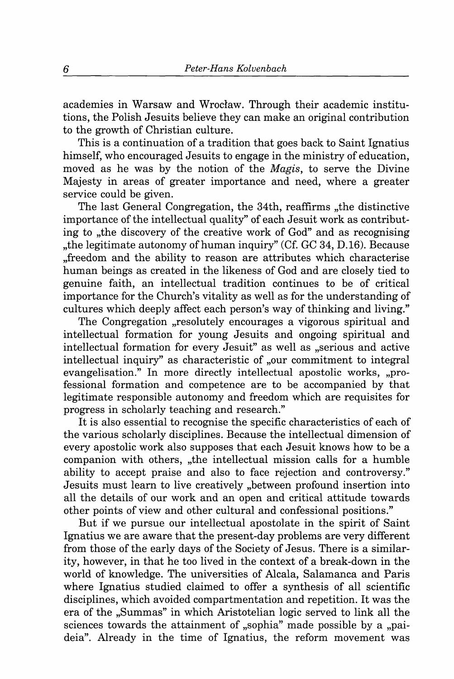academies in Warsaw and Wrocław. Through their academic institutions, the Polish Jesuits believe they can make an original contribution to the growth of Christian culture.

This is a continuation of a tradition that goes back to Saint Ignatius himself, who encouraged Jesuits to engage in the ministry of education, moved as he was by the notion of the *Magis,* to serve the Divine Majesty in areas of greater importance and need, where a greater service could be given.

The last General Congregation, the 34th, reaffirms , the distinctive importance of the intellectual quality" of each Jesuit work as contributing to , the discovery of the creative work of God" and as recognising "the legitimate autonomy of human inquiry" (Cf. GC 34, D.16). Because "freedom and the ability to reason are attributes which characterise human beings as created in the likeness of God and are closely tied to genuine faith, an intellectual tradition continues to be of critical importance for the Church's vitality as well as for the understanding of cultures which deeply affect each person's way of thinking and living. "

The Congregation "resolutely encourages a vigorous spiritual and intellectual formation for young Jesuits and ongoing spiritual and intellectual formation for every Jesuit" as well as "serious and active intellectual inquiry" as characteristic of "our commitment to integral evangelisation." In more directly intellectual apostolic works, "professional formation and competence are to be accompanied by that legitimate responsible autonomy and freedom which are requisites for progress in scholarly teaching and research."

It is also essential to recognise the specific characteristics of each of the various scholarly disciplines. Because the intellectual dimension of every apostolic work also supposes that each Jesuit knows how to be a companion with others, "the intellectual mission calls for a humble ability to accept praise and also to face rejection and controversy." Jesuits must learn to live creatively "between profound insertion into all the details of our work and an open and critical attitude towards other points of view and other cultural and confessional positions."

But if we pursue our intellectual apostolate in the spirit of Saint Ignatius we are aware that the present-day problems are very different from those of the early days of the Society of Jesus. There is a similarity, however, in that he too lived in the context of a break-down in the world of knowledge. The universities of Alcala , Salamanca and Paris where Ignatius studied claimed to offer a synthesis of all scientific disciplines, which avoided compartmentation and repetition. It was the era of the "Summas" in which Aristotelian logic served to link all the sciences towards the attainment of "sophia" made possible by a "paideia". Already in the time of Ignatius, the reform movement was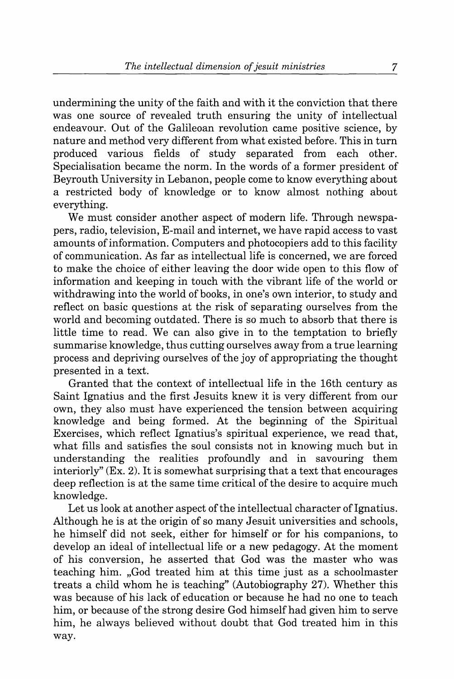undermining the unity of the faith and with it the conviction that there was one source of revealed truth ensuring the unity of intellectual endeavour. Out of the Galileoan revolution came positive science, by nature and method very different from what existed before. This in turn produced various fields of study separated from each other. Specialisation became the norm. In the words of a former president of Beyrouth University in Lebanon, people come to know everything about a restricted body of knowledge or to know almost nothing about everything.

We must consider another aspect of modern life. Through newspapers, radio, television. E-mail and internet, we have rapid access to vast amounts of information. Computers and photocopiers add to this facility of communication. As far as intellectual life is concerned, we are forced to make the choice of either leaving the door wide open to this flow of information and keeping in touch with the vibrant life of the world or withdrawing into the world of books, in one's own interior, to study and reflect on basic questions at the risk of separating ourselves from the world and becoming outdated. There is so much to absorb that there is little time to read. We can also give in to the temptation to briefly summarise knowledge, thus cutting ourselves away from a true learning process and depriving ourselves of the joy of appropriating the thought presented in a text.

Granted that the context of intellectual life in the 16th century as Saint Ignatius and the first Jesuits knew it is very different from our own, they also must have experienced the tension between acquiring knowledge and being formed. At the beginning of the Spiritual Exercises, which reflect Ignatius's spiritual experience, we read that, what fills and satisfies the soul consists not in knowing much but in understanding the realities profoundly and in savouring them interiorly" (Ex. 2). It is somewhat surprising that a text that encourages deep reflection is at the same time critical of the desire to acquire much knowledge.

Let us look at another aspect of the intellectual character of Ignatius. Although he is at the origin of so many Jesuit universities and schools, he himself did not seek, either for himself or for his companions, to develop an ideal of intellectual life or a new pedagogy. At the moment of his conversion, he asserted that God was the master who was teaching him. "God treated him at this time just as a schoolmaster treats a child whom he is teaching" (Autobiography 27). Whether this was because of his lack of education or because he had no one to teach him, or because of the strong desire God himself had given him to serve him, he always believed without doubt that God treated him in this way.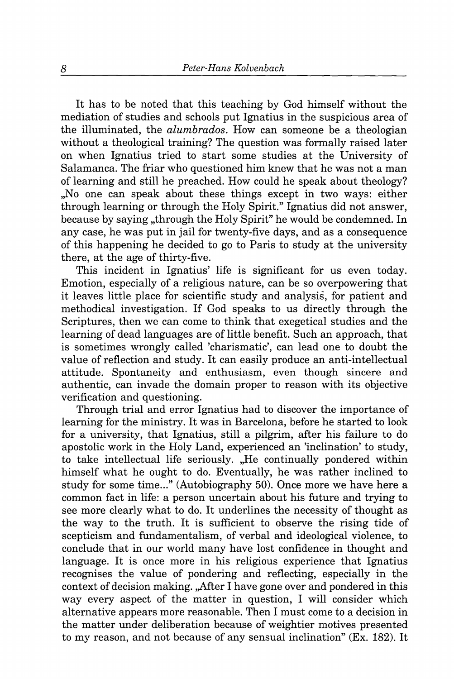It has to be noted that this teaching by God himself without the mediation of studies and schools put Ignatius in the suspicious area of the illuminated, the *alumbrados.* How can someone be a theologian without a theological training? The question was formally raised later on when Ignatius tried to start some studies at the University of Salamanca. The friar who questioned him knew that he was not a man of learning and still he preached. How could he speak about theology? "No one can speak about these things except in two ways: either through learning or through the Holy Spirit." Ignatius did not answer, because by saying "through the Holy Spirit" he would be condemned. In any case, he was put in jail for twenty-five days, and as a consequence of this happening he decided to go to Paris to study at the university there, at the age of thirty-five.

This incident in Ignatius' life is significant for us even today. Emotion, especially of a religious nature, can be so overpowering that it leaves little place for scientific study and analysis, for patient and methodical investigation. If God speaks to us directly through the Scriptures, then we can come to think that exegetical studies and the learning of dead languages are of little benefit. Such an approach, that is sometimes wrongly called 'charismatic', can lead one to doubt the value of reflection and study. It can easily produce an anti-intellectual attitude. Spontaneity and enthusiasm, even though sincere and authentic, can invade the domain proper to reason with its objective verification and questioning.

Through trial and error Ignatius had to discover the importance of learning for the ministry. It was in Barcelona, before he started to look for a university, that Ignatius, still a pilgrim, after his failure to do apostolic work in the Holy Land, experienced an 'inclination' to study, to take intellectual life seriously. "He continually pondered within himself what he ought to do. Eventually, he was rather inclined to study for some time..." (Autobiography 50). Once more we have here a common fact in life: a person uncertain about his future and trying to see more clearly what to do. It underlines the necessity of thought as the way to the truth. It is sufficient to observe the rising tide of scepticism and fundamentalism, of verbal and ideological violence, to conclude that in our world many have lost confidence in thought and language. It is once more in his religious experience that Ignatius recognises the value of pondering and reflecting, especially in the context of decision making. "After I have gone over and pondered in this way every aspect of the matter in question, I will consider which alternative appears more reasonable. Then I must come to a decision in the matter under deliberation because of weightier motives presented to my reason, and not because of any sensual inclination" (Ex. 182). It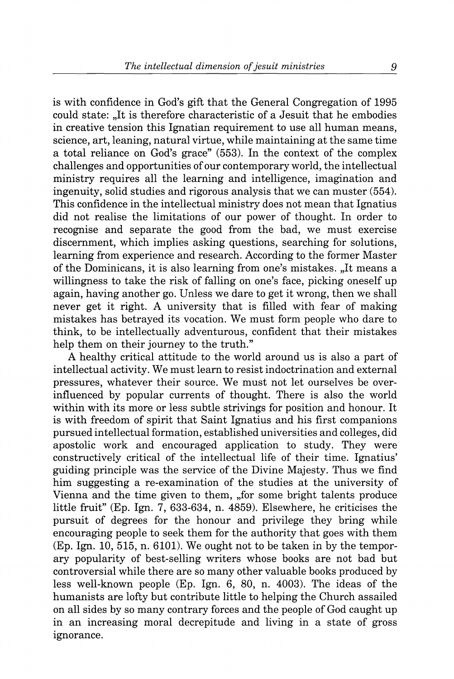is with confidence in God's gift that the General Congregation of 1995 could state: "It is therefore characteristic of a Jesuit that he embodies in creative tension this Ignatian requirement to use all human means, science, art, leaning, natural virtue, while maintaining at the same time a total reliance on God's grace" (553). In the context of the complex challenges and opportunities of our contemporary world, the intellectual ministry requires all the learning and intelligence, imagination and ingenuity, solid studies and rigorous analysis that we can muster (554). This confidence in the intellectual ministry does not mean that Ignatius did not realise the limitations of our power of thought. In order to recognise and separate the good from the bad, we must exercise discernment, which implies asking questions, searching for solutions, learning from experience and research. According to the former Master of the Dominicans, it is also learning from one's mistakes. "It means a willingness to take the risk of falling on one's face, picking oneself up again, having another go. Unless we dare to get it wrong, then we shall never get it right. A university that is filled with fear of making mistakes has betrayed its vocation. We must form people who dare to think, to be intellectually adventurous, confident that their mistakes help them on their journey to the truth."

A healthy critical attitude to the world around us is also a part of intellectual activity. We must learn to resist indoctrination and external pressures, whatever their source. We must not let ourselves be overinfluenced by popular currents of thought. There is also the world within with its more or less subtle strivings for position and honour. It is with freedom of spirit that Saint Ignatius and his first companions pursued intellectual formation, established universities and colleges, did apostolic work and encouraged application to study. They were constructively critical of the intellectual life of their time. Ignatius' guiding principle was the service of the Divine Majesty. Thus we find him suggesting a re-examination of the studies at the university of Vienna and the time given to them, "for some bright talents produce little fruit" (Ep. Ign. 7, 633-634, n. 4859). Elsewhere, he criticises the pursuit of degrees for the honour and privilege they bring while encouraging people to seek them for the authority that goes with them  $(Ep. Ign. 10, 515, n. 6101)$ . We ought not to be taken in by the temporary popularity of best-selling writers whose books are not bad but controversial while there are so many other valuable books produced by less well-known people (Ep. Ign. 6, 80, n. 4003). The ideas of the humanists are lofty but contribute little to helping the Church assailed on all sides by so many contrary forces and the people of God caught up in an increasing moral decrepitude and living in a state of gross ignorance.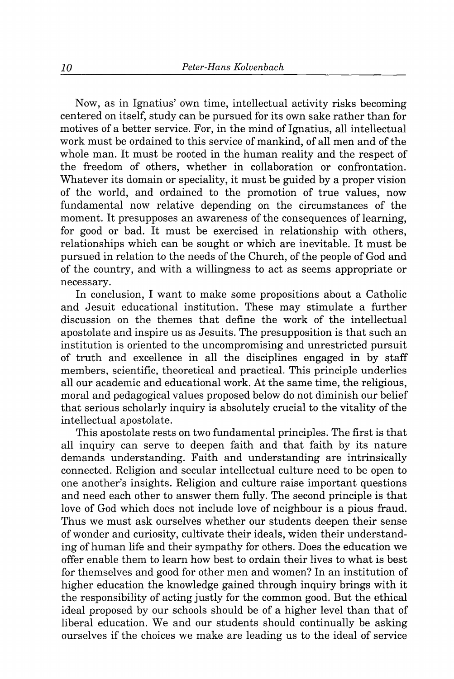Now, as in Ignatius' own time, intellectual activity risks becoming centered on itself, study can be pursued for its own sake rather than for motives of a better service. For, in the mind of Ignatius, all intellectual work must be ordained to this service of mankind, of all men and of the whole man. It must be rooted in the human reality and the respect of the freedom of others, whether in collaboration or confrontation. Whatever its domain or speciality, it must be guided by a proper vision of the world, and ordained to the promotion of true values, now fundamental now relative depending on the circumstances of the moment. It presupposes an awareness of the consequences of learning, for good or bad. It must be exercised in relationship with others, relationships which can be sought or which are inevitable. It must be pursued in relation to the needs of the Church, of the people of God and of the country, and with a willingness to act as seems appropriate or necessary.

In conclusion, I want to make some propositions about a Catholic and Jesuit educational institution. These may stimulate a further discussion on the themes that define the work of the intellectual apostolate and inspire us as Jesuits. The presupposition is that such an institution is oriented to the uncompromising and unrestricted pursuit of truth and excellence in all the disciplines engaged in by staff members, scientific, theoretical and practical. This principle underlies all our academic and educational work. At the same time, the religious, moral and pedagogical values proposed below do not diminish our belief that serious scholarly inquiry is absolutely crucial to the vitality of the intellectual apostolate.

This apostolate rests on two fundamental principles. The first is that all inquiry can serve to deepen faith and that faith by its nature demands understanding. Faith and understanding are intrinsically connected. Religion and secular intellectual culture need to be open to one another's insights. Religion and culture raise important questions and need each other to answer them fully. The second principle is that love of God which does not include love of neighbour is a pious fraud. Thus we must ask ourselves whether our students deepen their sense of wonder and curiosity, cultivate their ideals, widen their understanding of human life and their sympathy for others. Does the education we offer enable them to learn how best to ordain their lives to what is best for themselves and good for other men and women? In an institution of higher education the knowledge gained through inquiry brings with it the responsibility of acting justly for the common good. But the ethical ideal proposed by our schools should be of a higher level than that of liberal education. We and our students should continually be asking ourselves if the choices we make are leading us to the ideal of service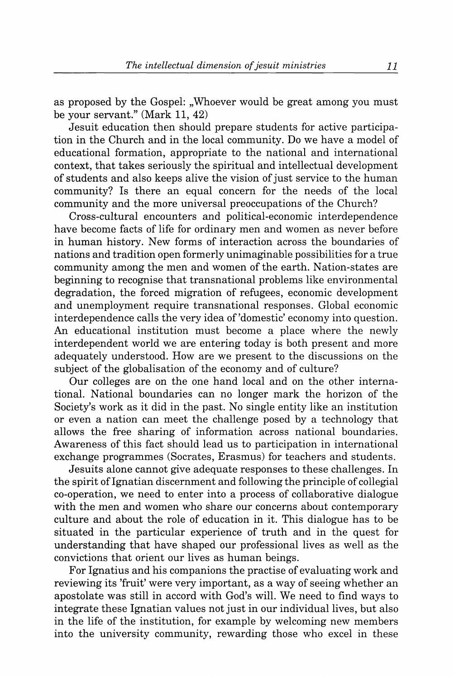as proposed by the Gospel: "Whoever would be great among you must be your servant." (Mark 11, 42)

Jesuit education then should prepare students for active participation in the Church and in the local community. Do we have a model of educational formation, appropriate to the national and international context, that takes seriously the spiritual and intellectual development of students and also keeps alive the vision of just service to the human community? Is there an equal concern for the needs of the local community and the more universal preoccupations of the Church?

Cross-cultural encounters and political-economic interdependence have become facts of life for ordinary men and women as never before in human history. New forms of interaction across the boundaries of nations and tradition open formerly unimaginable possibilities for a true community among the men and women of the earth. Nation-states are beginning to recognise that transnational problems like environmental degradation, the forced migration of refugees, economic development and unemployment require transnational responses. Global economic interdependence calls the very idea of'domestic' economy into question. An educational institution must become a place where the newly interdependent world we are entering today is both present and more adequately understood. How are we present to the discussions on the subject of the globalisation of the economy and of culture?

Our colleges are on the one hand local and on the other international. National boundaries can no longer mark the horizon of the Society's work as it did in the past. No single entity like an institution or even a nation can meet the challenge posed by a technology that allows the free sharing of information across national boundaries. Awareness of this fact should lead us to participation in international exchange programmes (Socrates, Erasmus) for teachers and students.

Jesuits alone cannot give adequate responses to these challenges. In the spirit of Ignatian discernment and following the principle of collegial co-operation, we need to enter into a process of collaborative dialogue with the men and women who share our concerns about contemporary culture and about the role of education in it. This dialogue has to be situated in the particular experience of truth and in the quest for understanding that have shaped our professional lives as well as the convictions that orient our lives as human beings.

For Ignatius and his companions the practise of evaluating work and reviewing its 'fruit' were very important, as a way of seeing whether an apostolate was still in accord with God's will. We need to find ways to integrate these Ignatian values not just in our individual lives, but also in the life of the institution, for example by welcoming new members into the university community, rewarding those who excel in these